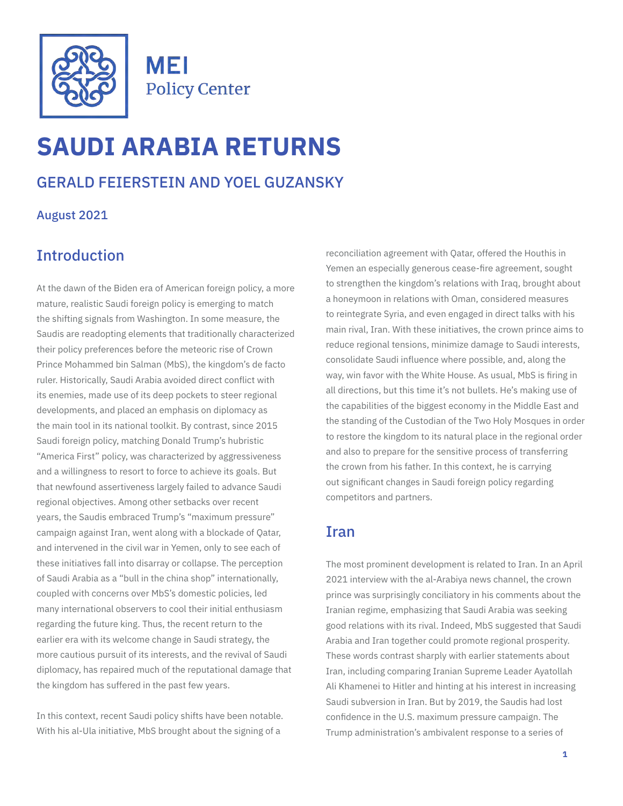

**MEI Policy Center** 

# **SAUDI ARABIA RETURNS**

# GERALD FEIERSTEIN AND YOEL GUZANSKY

August 2021

# **Introduction**

At the dawn of the Biden era of American foreign policy, a more mature, realistic Saudi foreign policy is emerging to match the shifting signals from Washington. In some measure, the Saudis are readopting elements that traditionally characterized their policy preferences before the meteoric rise of Crown Prince Mohammed bin Salman (MbS), the kingdom's de facto ruler. Historically, Saudi Arabia avoided direct conflict with its enemies, made use of its deep pockets to steer regional developments, and placed an emphasis on diplomacy as the main tool in its national toolkit. By contrast, since 2015 Saudi foreign policy, matching Donald Trump's hubristic "America First" policy, was characterized by aggressiveness and a willingness to resort to force to achieve its goals. But that newfound assertiveness largely failed to advance Saudi regional objectives. Among other setbacks over recent years, the Saudis embraced Trump's "maximum pressure" campaign against Iran, went along with a blockade of Qatar, and intervened in the civil war in Yemen, only to see each of these initiatives fall into disarray or collapse. The perception of Saudi Arabia as a "bull in the china shop" internationally, coupled with concerns over MbS's domestic policies, led many international observers to cool their initial enthusiasm regarding the future king. Thus, the recent return to the earlier era with its welcome change in Saudi strategy, the more cautious pursuit of its interests, and the revival of Saudi diplomacy, has repaired much of the reputational damage that the kingdom has suffered in the past few years.

In this context, recent Saudi policy shifts have been notable. With his al-Ula initiative, MbS brought about the signing of a

reconciliation agreement with Qatar, offered the Houthis in Yemen an especially generous cease-fire agreement, sought to strengthen the kingdom's relations with Iraq, brought about a honeymoon in relations with Oman, considered measures to reintegrate Syria, and even engaged in direct talks with his main rival, Iran. With these initiatives, the crown prince aims to reduce regional tensions, minimize damage to Saudi interests, consolidate Saudi influence where possible, and, along the way, win favor with the White House. As usual, MbS is firing in all directions, but this time it's not bullets. He's making use of the capabilities of the biggest economy in the Middle East and the standing of the Custodian of the Two Holy Mosques in order to restore the kingdom to its natural place in the regional order and also to prepare for the sensitive process of transferring the crown from his father. In this context, he is carrying out significant changes in Saudi foreign policy regarding competitors and partners.

## Iran

The most prominent development is related to Iran. In an April 2021 interview with the al-Arabiya news channel, the crown prince was surprisingly conciliatory in his comments about the Iranian regime, emphasizing that Saudi Arabia was seeking good relations with its rival. Indeed, MbS suggested that Saudi Arabia and Iran together could promote regional prosperity. These words contrast sharply with earlier statements about Iran, including comparing Iranian Supreme Leader Ayatollah Ali Khamenei to Hitler and hinting at his interest in increasing Saudi subversion in Iran. But by 2019, the Saudis had lost confidence in the U.S. maximum pressure campaign. The Trump administration's ambivalent response to a series of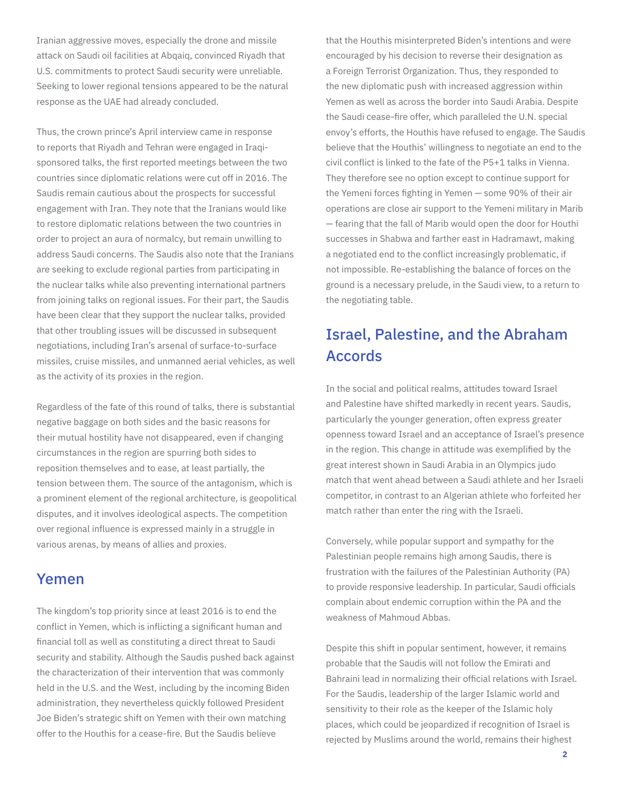Iranian aggressive moves, especially the drone and missile attack on Saudi oil facilities at Abqaiq, convinced Riyadh that U.S. commitments to protect Saudi security were unreliable. Seeking to lower regional tensions appeared to be the natural response as the UAE had already concluded.

Thus, the crown prince's April interview came in response to reports that Riyadh and Tehran were engaged in Iraqisponsored talks, the first reported meetings between the two countries since diplomatic relations were cut off in 2016. The Saudis remain cautious about the prospects for successful engagement with Iran. They note that the Iranians would like to restore diplomatic relations between the two countries in order to project an aura of normalcy, but remain unwilling to address Saudi concerns. The Saudis also note that the Iranians are seeking to exclude regional parties from participating in the nuclear talks while also preventing international partners from joining talks on regional issues. For their part, the Saudis have been clear that they support the nuclear talks, provided that other troubling issues will be discussed in subsequent negotiations, including Iran's arsenal of surface-to-surface missiles, cruise missiles, and unmanned aerial vehicles, as well as the activity of its proxies in the region.

Regardless of the fate of this round of talks, there is substantial negative baggage on both sides and the basic reasons for their mutual hostility have not disappeared, even if changing circumstances in the region are spurring both sides to reposition themselves and to ease, at least partially, the tension between them. The source of the antagonism, which is a prominent element of the regional architecture, is geopolitical disputes, and it involves ideological aspects. The competition over regional influence is expressed mainly in a struggle in various arenas, by means of allies and proxies.

#### Yemen

The kingdom's top priority since at least 2016 is to end the conflict in Yemen, which is inflicting a significant human and financial toll as well as constituting a direct threat to Saudi security and stability. Although the Saudis pushed back against the characterization of their intervention that was commonly held in the U.S. and the West, including by the incoming Biden administration, they nevertheless quickly followed President Joe Biden's strategic shift on Yemen with their own matching offer to the Houthis for a cease-fire. But the Saudis believe

that the Houthis misinterpreted Biden's intentions and were encouraged by his decision to reverse their designation as a Foreign Terrorist Organization. Thus, they responded to the new diplomatic push with increased aggression within Yemen as well as across the border into Saudi Arabia. Despite the Saudi cease-fire offer, which paralleled the U.N. special envoy's efforts, the Houthis have refused to engage. The Saudis believe that the Houthis' willingness to negotiate an end to the civil conflict is linked to the fate of the P5+1 talks in Vienna. They therefore see no option except to continue support for the Yemeni forces fighting in Yemen — some 90% of their air operations are close air support to the Yemeni military in Marib — fearing that the fall of Marib would open the door for Houthi successes in Shabwa and farther east in Hadramawt, making a negotiated end to the conflict increasingly problematic, if not impossible. Re-establishing the balance of forces on the ground is a necessary prelude, in the Saudi view, to a return to the negotiating table.

# Israel, Palestine, and the Abraham Accords

In the social and political realms, attitudes toward Israel and Palestine have shifted markedly in recent years. Saudis, particularly the younger generation, often express greater openness toward Israel and an acceptance of Israel's presence in the region. This change in attitude was exemplified by the great interest shown in Saudi Arabia in an Olympics judo match that went ahead between a Saudi athlete and her Israeli competitor, in contrast to an Algerian athlete who forfeited her match rather than enter the ring with the Israeli.

Conversely, while popular support and sympathy for the Palestinian people remains high among Saudis, there is frustration with the failures of the Palestinian Authority (PA) to provide responsive leadership. In particular, Saudi officials complain about endemic corruption within the PA and the weakness of Mahmoud Abbas.

Despite this shift in popular sentiment, however, it remains probable that the Saudis will not follow the Emirati and Bahraini lead in normalizing their official relations with Israel. For the Saudis, leadership of the larger Islamic world and sensitivity to their role as the keeper of the Islamic holy places, which could be jeopardized if recognition of Israel is rejected by Muslims around the world, remains their highest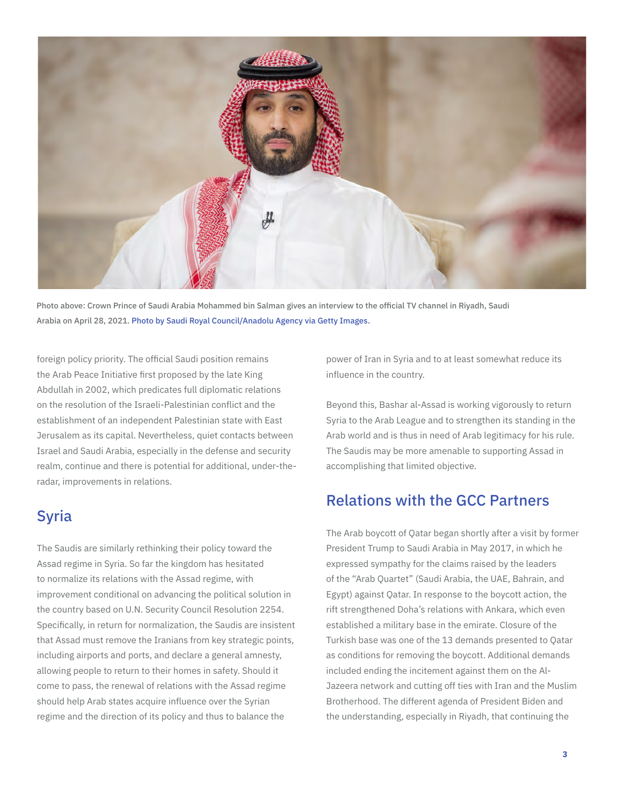

Photo above: Crown Prince of Saudi Arabia Mohammed bin Salman gives an interview to the official TV channel in Riyadh, Saudi Arabia on April 28, 2021. Photo by Saudi Royal Council/Anadolu Agency via Getty Images.

foreign policy priority. The official Saudi position remains the Arab Peace Initiative first proposed by the late King Abdullah in 2002, which predicates full diplomatic relations on the resolution of the Israeli-Palestinian conflict and the establishment of an independent Palestinian state with East Jerusalem as its capital. Nevertheless, quiet contacts between Israel and Saudi Arabia, especially in the defense and security realm, continue and there is potential for additional, under-theradar, improvements in relations.

## Syria

The Saudis are similarly rethinking their policy toward the Assad regime in Syria. So far the kingdom has hesitated to normalize its relations with the Assad regime, with improvement conditional on advancing the political solution in the country based on U.N. Security Council Resolution 2254. Specifically, in return for normalization, the Saudis are insistent that Assad must remove the Iranians from key strategic points, including airports and ports, and declare a general amnesty, allowing people to return to their homes in safety. Should it come to pass, the renewal of relations with the Assad regime should help Arab states acquire influence over the Syrian regime and the direction of its policy and thus to balance the

power of Iran in Syria and to at least somewhat reduce its influence in the country.

Beyond this, Bashar al-Assad is working vigorously to return Syria to the Arab League and to strengthen its standing in the Arab world and is thus in need of Arab legitimacy for his rule. The Saudis may be more amenable to supporting Assad in accomplishing that limited objective.

## Relations with the GCC Partners

The Arab boycott of Qatar began shortly after a visit by former President Trump to Saudi Arabia in May 2017, in which he expressed sympathy for the claims raised by the leaders of the "Arab Quartet" (Saudi Arabia, the UAE, Bahrain, and Egypt) against Qatar. In response to the boycott action, the rift strengthened Doha's relations with Ankara, which even established a military base in the emirate. Closure of the Turkish base was one of the 13 demands presented to Qatar as conditions for removing the boycott. Additional demands included ending the incitement against them on the Al-Jazeera network and cutting off ties with Iran and the Muslim Brotherhood. The different agenda of President Biden and the understanding, especially in Riyadh, that continuing the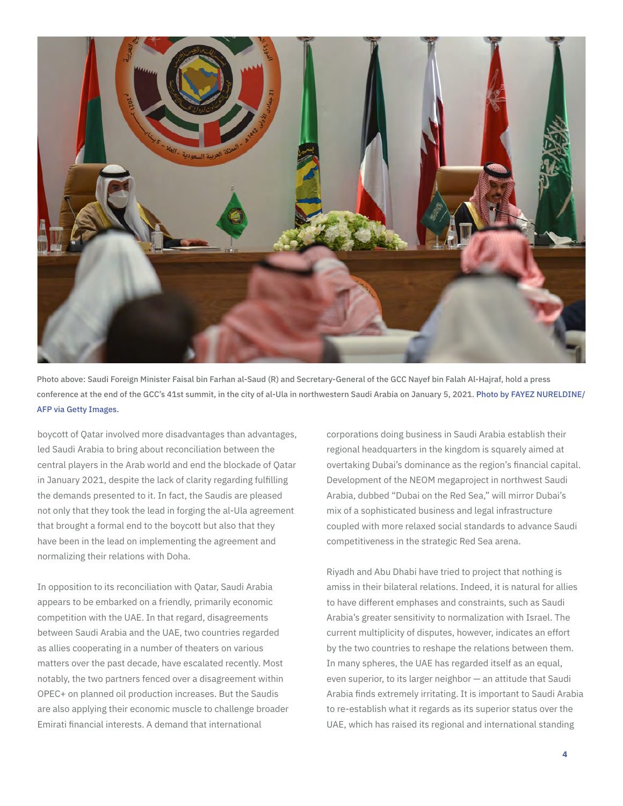

Photo above: Saudi Foreign Minister Faisal bin Farhan al-Saud (R) and Secretary-General of the GCC Nayef bin Falah Al-Hajraf, hold a press conference at the end of the GCC's 41st summit, in the city of al-Ula in northwestern Saudi Arabia on January 5, 2021. Photo by FAYEZ NURELDINE/ AFP via Getty Images.

boycott of Qatar involved more disadvantages than advantages, led Saudi Arabia to bring about reconciliation between the central players in the Arab world and end the blockade of Qatar in January 2021, despite the lack of clarity regarding fulfilling the demands presented to it. In fact, the Saudis are pleased not only that they took the lead in forging the al-Ula agreement that brought a formal end to the boycott but also that they have been in the lead on implementing the agreement and normalizing their relations with Doha.

In opposition to its reconciliation with Qatar, Saudi Arabia appears to be embarked on a friendly, primarily economic competition with the UAE. In that regard, disagreements between Saudi Arabia and the UAE, two countries regarded as allies cooperating in a number of theaters on various matters over the past decade, have escalated recently. Most notably, the two partners fenced over a disagreement within OPEC+ on planned oil production increases. But the Saudis are also applying their economic muscle to challenge broader Emirati financial interests. A demand that international

corporations doing business in Saudi Arabia establish their regional headquarters in the kingdom is squarely aimed at overtaking Dubai's dominance as the region's financial capital. Development of the NEOM megaproject in northwest Saudi Arabia, dubbed "Dubai on the Red Sea," will mirror Dubai's mix of a sophisticated business and legal infrastructure coupled with more relaxed social standards to advance Saudi competitiveness in the strategic Red Sea arena.

Riyadh and Abu Dhabi have tried to project that nothing is amiss in their bilateral relations. Indeed, it is natural for allies to have different emphases and constraints, such as Saudi Arabia's greater sensitivity to normalization with Israel. The current multiplicity of disputes, however, indicates an effort by the two countries to reshape the relations between them. In many spheres, the UAE has regarded itself as an equal, even superior, to its larger neighbor — an attitude that Saudi Arabia finds extremely irritating. It is important to Saudi Arabia to re-establish what it regards as its superior status over the UAE, which has raised its regional and international standing